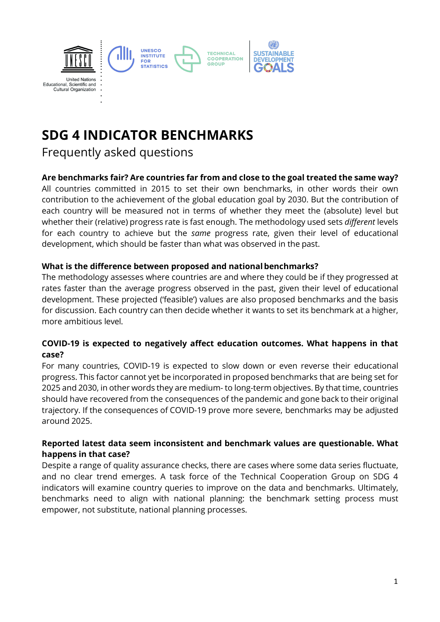

# **SDG 4 INDICATOR BENCHMARKS**

Frequently asked questions

## **Are benchmarks fair? Are countries far from and close to the goal treated the same way?**

All countries committed in 2015 to set their own benchmarks, in other words their own contribution to the achievement of the global education goal by 2030. But the contribution of each country will be measured not in terms of whether they meet the (absolute) level but whether their (relative) progress rate is fast enough. The methodology used sets *different* levels for each country to achieve but the *same* progress rate, given their level of educational development, which should be faster than what was observed in the past.

## **What is the difference between proposed and nationalbenchmarks?**

The methodology assesses where countries are and where they could be if they progressed at rates faster than the average progress observed in the past, given their level of educational development. These projected ('feasible') values are also proposed benchmarks and the basis for discussion. Each country can then decide whether it wants to set its benchmark at a higher, more ambitious level.

## **COVID-19 is expected to negatively affect education outcomes. What happens in that case?**

For many countries, COVID-19 is expected to slow down or even reverse their educational progress. This factor cannot yet be incorporated in proposed benchmarks that are being set for 2025 and 2030, in other words they are medium- to long-term objectives. By that time, countries should have recovered from the consequences of the pandemic and gone back to their original trajectory. If the consequences of COVID-19 prove more severe, benchmarks may be adjusted around 2025.

## **Reported latest data seem inconsistent and benchmark values are questionable. What happens in that case?**

Despite a range of quality assurance checks, there are cases where some data series fluctuate, and no clear trend emerges. A task force of the Technical Cooperation Group on SDG 4 indicators will examine country queries to improve on the data and benchmarks. Ultimately, benchmarks need to align with national planning: the benchmark setting process must empower, not substitute, national planning processes.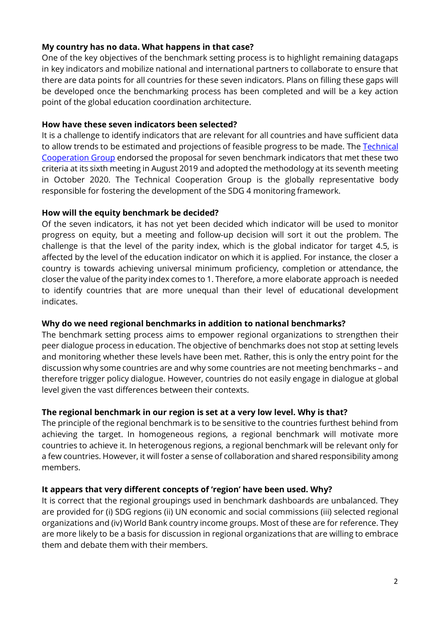#### **My country has no data. What happens in that case?**

One of the key objectives of the benchmark setting process is to highlight remaining datagaps in key indicators and mobilize national and international partners to collaborate to ensure that there are data points for all countries for these seven indicators. Plans on filling these gaps will be developed once the benchmarking process has been completed and will be a key action point of the global education coordination architecture.

#### **How have these seven indicators been selected?**

It is a challenge to identify indicators that are relevant for all countries and have sufficient data to allow trends to be estimated and projections of feasible progress to be made. The Technical [Cooperation](http://tcg.uis.unesco.org/) Group endorsed the proposal for seven benchmark indicators that met these two criteria at its sixth meeting in August 2019 and adopted the methodology at its seventh meeting in October 2020. The Technical Cooperation Group is the globally representative body responsible for fostering the development of the SDG 4 monitoring framework.

## **How will the equity benchmark be decided?**

Of the seven indicators, it has not yet been decided which indicator will be used to monitor progress on equity, but a meeting and follow-up decision will sort it out the problem. The challenge is that the level of the parity index, which is the global indicator for target 4.5, is affected by the level of the education indicator on which it is applied. For instance, the closer a country is towards achieving universal minimum proficiency, completion or attendance, the closer the value of the parity index comes to 1. Therefore, a more elaborate approach is needed to identify countries that are more unequal than their level of educational development indicates.

## **Why do we need regional benchmarks in addition to national benchmarks?**

The benchmark setting process aims to empower regional organizations to strengthen their peer dialogue process in education. The objective of benchmarks does not stop at setting levels and monitoring whether these levels have been met. Rather, this is only the entry point for the discussion why some countries are and why some countries are not meeting benchmarks – and therefore trigger policy dialogue. However, countries do not easily engage in dialogue at global level given the vast differences between their contexts.

## **The regional benchmark in our region is set at a very low level. Why is that?**

The principle of the regional benchmark is to be sensitive to the countries furthest behind from achieving the target. In homogeneous regions, a regional benchmark will motivate more countries to achieve it. In heterogenous regions, a regional benchmark will be relevant only for a few countries. However, it will foster a sense of collaboration and shared responsibility among members.

## **It appears that very different concepts of 'region' have been used. Why?**

It is correct that the regional groupings used in benchmark dashboards are unbalanced. They are provided for (i) SDG regions (ii) UN economic and social commissions (iii) selected regional organizations and (iv) World Bank country income groups. Most of these are for reference. They are more likely to be a basis for discussion in regional organizations that are willing to embrace them and debate them with their members.